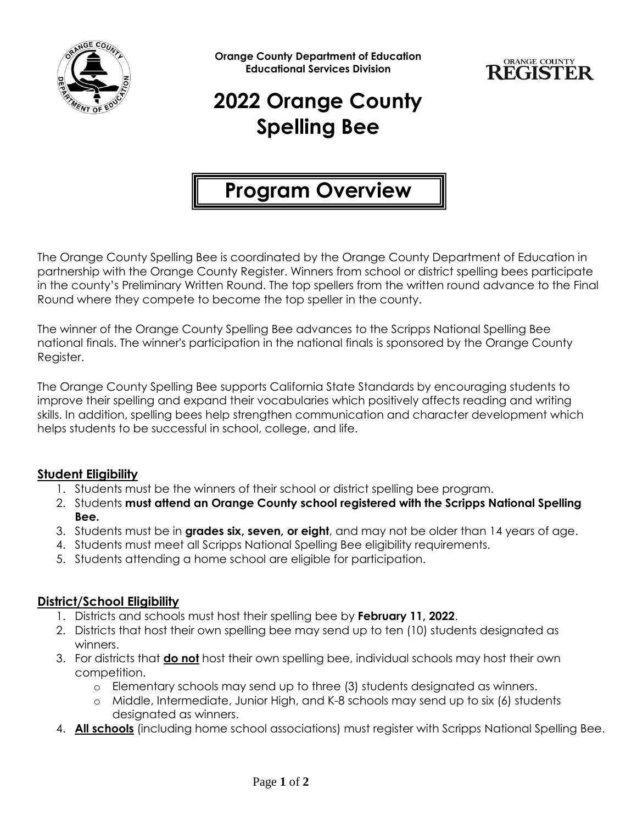

**Orange County Department of Education Educational Services Division**



# **2022 Orange County Spelling Bee**

## **Program Overview**

The Orange County Spelling Bee is coordinated by the Orange County Department of Education in partnership with the Orange County Register. Winners from school or district spelling bees participate in the county's Preliminary Written Round. The top spellers from the written round advance to the Final Round where they compete to become the top speller in the county.

The winner of the Orange County Spelling Bee advances to the Scripps National Spelling Bee national finals. The winner's participation in the national finals is sponsored by the Orange County Register.

The Orange County Spelling Bee supports California State Standards by encouraging students to improve their spelling and expand their vocabularies which positively affects reading and writing skills. In addition, spelling bees help strengthen communication and character development which helps students to be successful in school, college, and life.

#### **Student Eligibility**

- 1. Students must be the winners of their school or district spelling bee program.
- 2. Students **must attend an Orange County school registered with the Scripps National Spelling Bee.**
- 3. Students must be in **grades six, seven, or eight**, and may not be older than 14 years of age.
- 4. Students must meet all Scripps National Spelling Bee eligibility requirements.
- 5. Students attending a home school are eligible for participation.

#### **District/School Eligibility**

- 1. Districts and schools must host their spelling bee by **February 11, 2022**.
- 2. Districts that host their own spelling bee may send up to ten (10) students designated as winners.
- 3. For districts that **do not** host their own spelling bee, individual schools may host their own competition.
	- o Elementary schools may send up to three (3) students designated as winners.
	- o Middle, Intermediate, Junior High, and K-8 schools may send up to six (6) students designated as winners.
- 4. **All schools** (including home school associations) must register with Scripps National Spelling Bee.